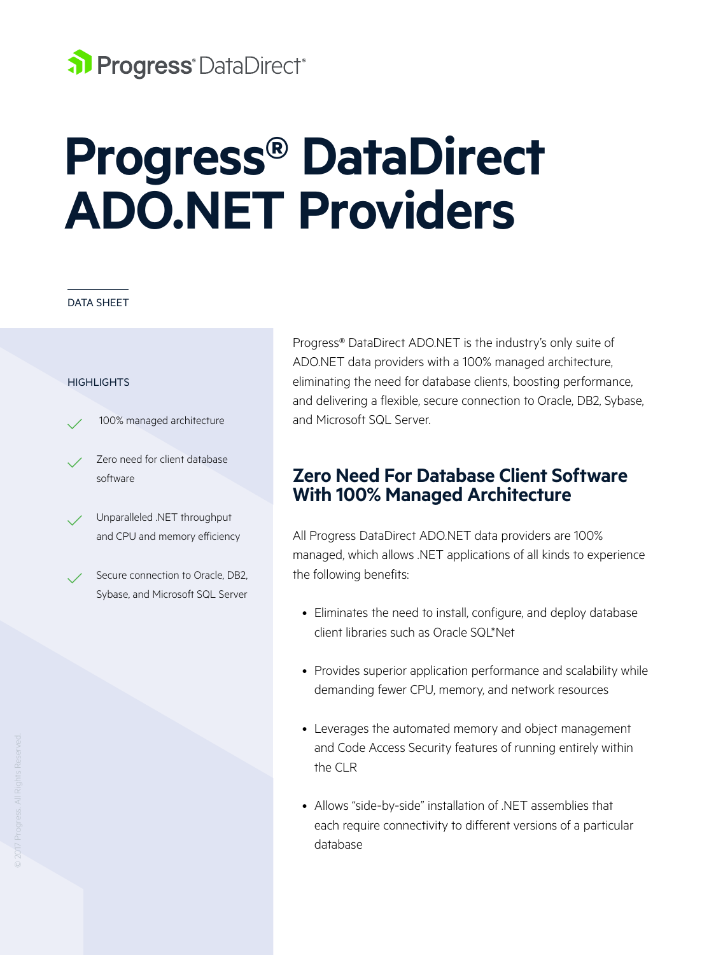# al Progress<sup>®</sup> DataDirect<sup>®</sup>

# **Progress® DataDirect ADO.NET Providers**

#### DATA SHEET

#### **HIGHLIGHTS**

100% managed architecture

- Zero need for client database software
- Unparalleled .NET throughput and CPU and memory efficiency
- Secure connection to Oracle, DB2, Sybase, and Microsoft SQL Server

Progress® DataDirect ADO.NET is the industry's only suite of ADO.NET data providers with a 100% managed architecture, eliminating the need for database clients, boosting performance, and delivering a flexible, secure connection to Oracle, DB2, Sybase, and Microsoft SQL Server.

### **Zero Need For Database Client Software With 100% Managed Architecture**

All Progress DataDirect ADO.NET data providers are 100% managed, which allows .NET applications of all kinds to experience the following benefits:

- Eliminates the need to install, configure, and deploy database client libraries such as Oracle SQL\*Net
- Provides superior application performance and scalability while demanding fewer CPU, memory, and network resources
- Leverages the automated memory and object management and Code Access Security features of running entirely within the CLR
- Allows "side-by-side" installation of .NET assemblies that each require connectivity to different versions of a particular database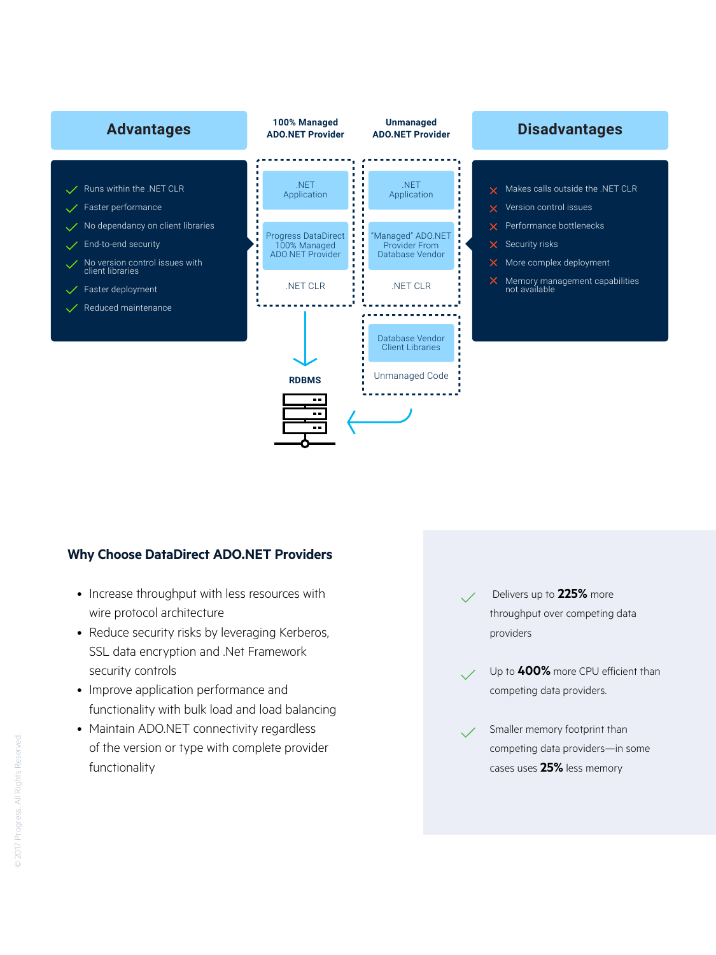

#### **Why Choose DataDirect ADO.NET Providers**

- Increase throughput with less resources with wire protocol architecture
- Reduce security risks by leveraging Kerberos, SSL data encryption and .Net Framework security controls
- Improve application performance and functionality with bulk load and load balancing
- Maintain ADO.NET connectivity regardless of the version or type with complete provider functionality

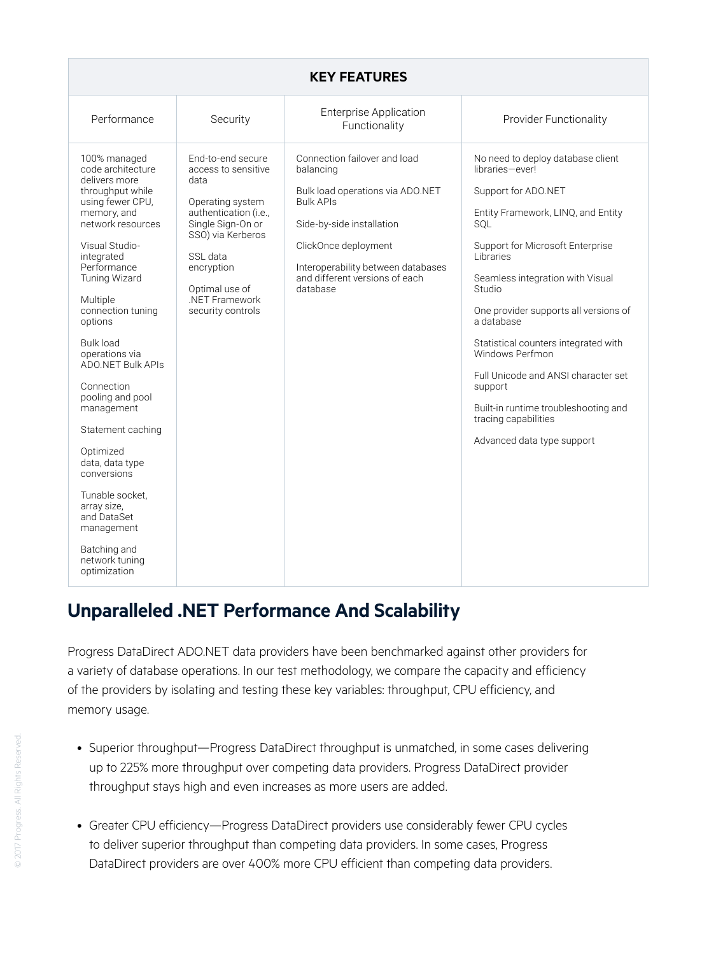#### **KEY FEATURES**

## **Unparalleled .NET Performance And Scalability**

Progress DataDirect ADO.NET data providers have been benchmarked against other providers for a variety of database operations. In our test methodology, we compare the capacity and efficiency of the providers by isolating and testing these key variables: throughput, CPU efficiency, and memory usage.

- Superior throughput—Progress DataDirect throughput is unmatched, in some cases delivering up to 225% more throughput over competing data providers. Progress DataDirect provider throughput stays high and even increases as more users are added.
- Greater CPU efficiency—Progress DataDirect providers use considerably fewer CPU cycles to deliver superior throughput than competing data providers. In some cases, Progress DataDirect providers are over 400% more CPU efficient than competing data providers.